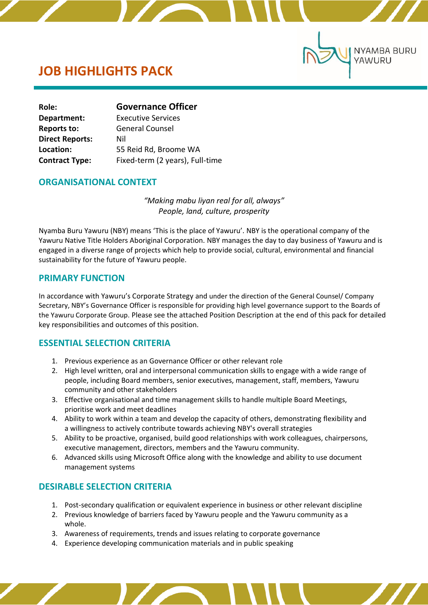# **JOB HIGHLIGHTS PACK**

ľ

| Role:                  | <b>Governance Officer</b>       |  |
|------------------------|---------------------------------|--|
| Department:            | <b>Executive Services</b>       |  |
| <b>Reports to:</b>     | <b>General Counsel</b>          |  |
| <b>Direct Reports:</b> | Nil                             |  |
| Location:              | 55 Reid Rd, Broome WA           |  |
| <b>Contract Type:</b>  | Fixed-term (2 years), Full-time |  |

### **ORGANISATIONAL CONTEXT**

*"Making mabu liyan real for all, always" People, land, culture, prosperity*

**NYAMBA BURU** 

YAWURU

Nyamba Buru Yawuru (NBY) means 'This is the place of Yawuru'. NBY is the operational company of the Yawuru Native Title Holders Aboriginal Corporation. NBY manages the day to day business of Yawuru and is engaged in a diverse range of projects which help to provide social, cultural, environmental and financial sustainability for the future of Yawuru people.

### **PRIMARY FUNCTION**

In accordance with Yawuru's Corporate Strategy and under the direction of the General Counsel/ Company Secretary, NBY's Governance Officer is responsible for providing high level governance support to the Boards of the Yawuru Corporate Group. Please see the attached Position Description at the end of this pack for detailed key responsibilities and outcomes of this position.

## **ESSENTIAL SELECTION CRITERIA**

- 1. Previous experience as an Governance Officer or other relevant role
- 2. High level written, oral and interpersonal communication skills to engage with a wide range of people, including Board members, senior executives, management, staff, members, Yawuru community and other stakeholders
- 3. Effective organisational and time management skills to handle multiple Board Meetings, prioritise work and meet deadlines
- 4. Ability to work within a team and develop the capacity of others, demonstrating flexibility and a willingness to actively contribute towards achieving NBY's overall strategies
- 5. Ability to be proactive, organised, build good relationships with work colleagues, chairpersons, executive management, directors, members and the Yawuru community.
- 6. Advanced skills using Microsoft Office along with the knowledge and ability to use document management systems

# **DESIRABLE SELECTION CRITERIA**

- 1. Post-secondary qualification or equivalent experience in business or other relevant discipline
- 2. Previous knowledge of barriers faced by Yawuru people and the Yawuru community as a whole.
- 3. Awareness of requirements, trends and issues relating to corporate governance
- 4. Experience developing communication materials and in public speaking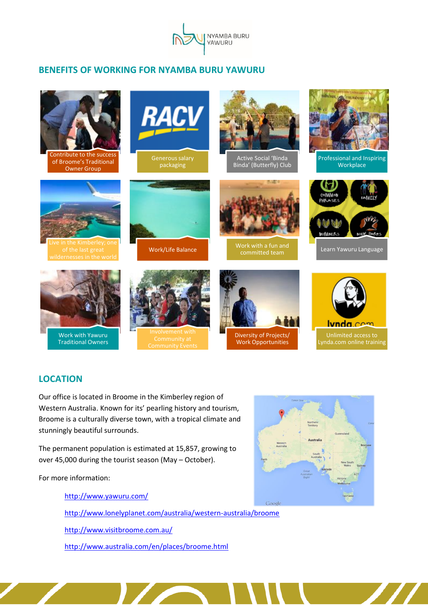

# **BENEFITS OF WORKING FOR NYAMBA BURU YAWURU**



# **LOCATION**

Our office is located in Broome in the Kimberley region of Western Australia. Known for its' pearling history and tourism, Broome is a culturally diverse town, with a tropical climate and stunningly beautiful surrounds.

The permanent population is estimated at 15,857, growing to over 45,000 during the tourist season (May – October).

For more information:

<http://www.yawuru.com/> <http://www.lonelyplanet.com/australia/western-australia/broome> <http://www.visitbroome.com.au/> <http://www.australia.com/en/places/broome.html>

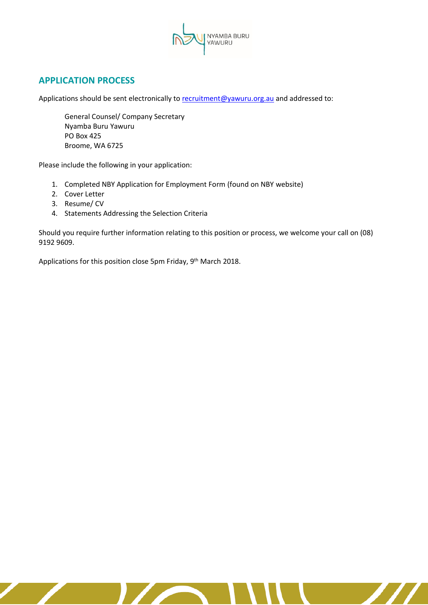

# **APPLICATION PROCESS**

Applications should be sent electronically t[o recruitment@yawuru.org.au](mailto:recruitment@yawuru.org.au) and addressed to:

General Counsel/ Company Secretary Nyamba Buru Yawuru PO Box 425 Broome, WA 6725

Please include the following in your application:

- 1. Completed NBY Application for Employment Form (found on NBY website)
- 2. Cover Letter
- 3. Resume/ CV
- 4. Statements Addressing the Selection Criteria

Should you require further information relating to this position or process, we welcome your call on (08) 9192 9609.

 $\boldsymbol{\mathcal{H}}$ 

Applications for this position close 5pm Friday, 9<sup>th</sup> March 2018.

 $\mathbf{Z}$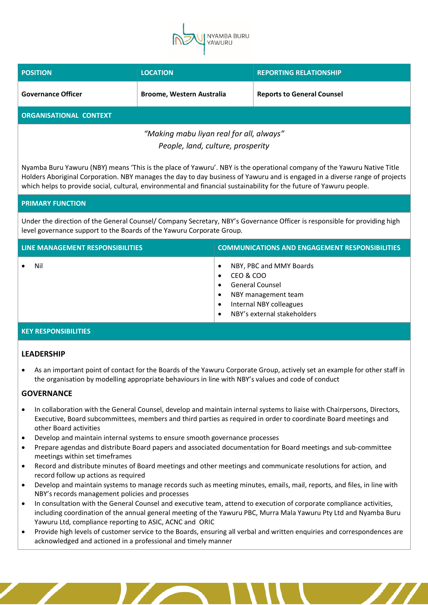

| <b>POSITION</b>                         | <b>LOCATION</b>                  | <b>REPORTING RELATIONSHIP</b>     |  |
|-----------------------------------------|----------------------------------|-----------------------------------|--|
| <b>Governance Officer</b>               | <b>Broome, Western Australia</b> | <b>Reports to General Counsel</b> |  |
| <b>ORGANISATIONAL CONTEXT</b>           |                                  |                                   |  |
| "Making mahu liyan real for all always" |                                  |                                   |  |

*"Making mabu liyan real for all, always" People, land, culture, prosperity*

Nyamba Buru Yawuru (NBY) means 'This is the place of Yawuru'. NBY is the operational company of the Yawuru Native Title Holders Aboriginal Corporation. NBY manages the day to day business of Yawuru and is engaged in a diverse range of projects which helps to provide social, cultural, environmental and financial sustainability for the future of Yawuru people.

#### **PRIMARY FUNCTION**

Under the direction of the General Counsel/ Company Secretary, NBY's Governance Officer is responsible for providing high level governance support to the Boards of the Yawuru Corporate Group.

| LINE MANAGEMENT RESPONSIBILITIES | <b>COMMUNICATIONS AND ENGAGEMENT RESPONSIBILITIES</b>                                                                                                                                                            |
|----------------------------------|------------------------------------------------------------------------------------------------------------------------------------------------------------------------------------------------------------------|
| Nil                              | NBY, PBC and MMY Boards<br>$\bullet$<br>CEO & COO<br>$\bullet$<br><b>General Counsel</b><br>$\bullet$<br>NBY management team<br>Internal NBY colleagues<br>$\bullet$<br>NBY's external stakeholders<br>$\bullet$ |

#### **KEY RESPONSIBILITIES**

#### **LEADERSHIP**

• As an important point of contact for the Boards of the Yawuru Corporate Group, actively set an example for other staff in the organisation by modelling appropriate behaviours in line with NBY's values and code of conduct

#### **GOVERNANCE**

- In collaboration with the General Counsel, develop and maintain internal systems to liaise with Chairpersons, Directors, Executive, Board subcommittees, members and third parties as required in order to coordinate Board meetings and other Board activities
- Develop and maintain internal systems to ensure smooth governance processes
- Prepare agendas and distribute Board papers and associated documentation for Board meetings and sub-committee meetings within set timeframes
- Record and distribute minutes of Board meetings and other meetings and communicate resolutions for action, and record follow up actions as required
- Develop and maintain systems to manage records such as meeting minutes, emails, mail, reports, and files, in line with NBY's records management policies and processes
- In consultation with the General Counsel and executive team, attend to execution of corporate compliance activities, including coordination of the annual general meeting of the Yawuru PBC, Murra Mala Yawuru Pty Ltd and Nyamba Buru Yawuru Ltd, compliance reporting to ASIC, ACNC and ORIC
- Provide high levels of customer service to the Boards, ensuring all verbal and written enquiries and correspondences are acknowledged and actioned in a professional and timely manner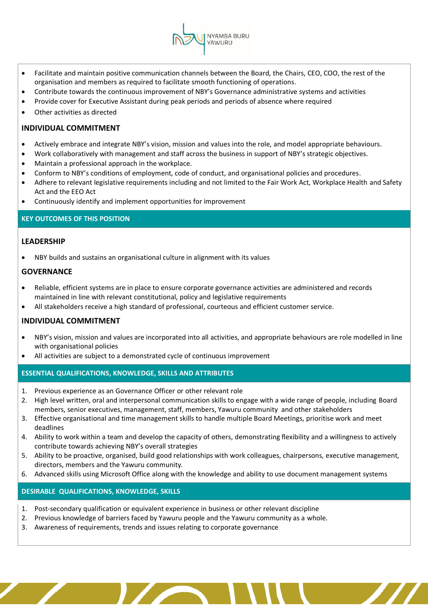• Facilitate and maintain positive communication channels between the Board, the Chairs, CEO, COO, the rest of the organisation and members as required to facilitate smooth functioning of operations.

NYAMBA BURU VAWURU

- Contribute towards the continuous improvement of NBY's Governance administrative systems and activities
- Provide cover for Executive Assistant during peak periods and periods of absence where required
- Other activities as directed

#### **INDIVIDUAL COMMITMENT**

- Actively embrace and integrate NBY's vision, mission and values into the role, and model appropriate behaviours.
- Work collaboratively with management and staff across the business in support of NBY's strategic objectives.
- Maintain a professional approach in the workplace.
- Conform to NBY's conditions of employment, code of conduct, and organisational policies and procedures.
- Adhere to relevant legislative requirements including and not limited to the Fair Work Act, Workplace Health and Safety Act and the EEO Act
- Continuously identify and implement opportunities for improvement

#### **KEY OUTCOMES OF THIS POSITION**

#### **LEADERSHIP**

• NBY builds and sustains an organisational culture in alignment with its values

#### **GOVERNANCE**

- Reliable, efficient systems are in place to ensure corporate governance activities are administered and records maintained in line with relevant constitutional, policy and legislative requirements
- All stakeholders receive a high standard of professional, courteous and efficient customer service.

#### **INDIVIDUAL COMMITMENT**

- NBY's vision, mission and values are incorporated into all activities, and appropriate behaviours are role modelled in line with organisational policies
- All activities are subject to a demonstrated cycle of continuous improvement

#### **ESSENTIAL QUALIFICATIONS, KNOWLEDGE, SKILLS AND ATTRIBUTES**

- 1. Previous experience as an Governance Officer or other relevant role
- 2. High level written, oral and interpersonal communication skills to engage with a wide range of people, including Board members, senior executives, management, staff, members, Yawuru community and other stakeholders
- 3. Effective organisational and time management skills to handle multiple Board Meetings, prioritise work and meet deadlines
- 4. Ability to work within a team and develop the capacity of others, demonstrating flexibility and a willingness to actively contribute towards achieving NBY's overall strategies
- 5. Ability to be proactive, organised, build good relationships with work colleagues, chairpersons, executive management, directors, members and the Yawuru community.
- 6. Advanced skills using Microsoft Office along with the knowledge and ability to use document management systems

#### **DESIRABLE QUALIFICATIONS, KNOWLEDGE, SKILLS**

- 1. Post-secondary qualification or equivalent experience in business or other relevant discipline
- 2. Previous knowledge of barriers faced by Yawuru people and the Yawuru community as a whole.
- 3. Awareness of requirements, trends and issues relating to corporate governance